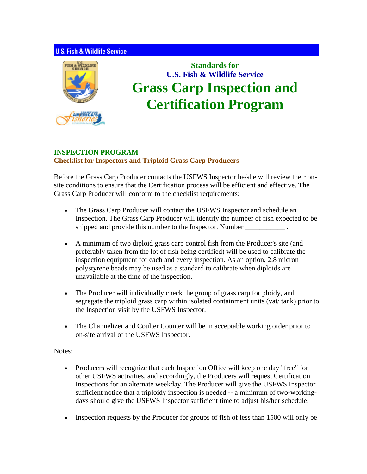## **U.S. Fish & Wildlife Service**



## **Standards for U.S. Fish & Wildlife Service Grass Carp Inspection and Certification Program**

## **INSPECTION PROGRAM Checklist for Inspectors and Triploid Grass Carp Producers**

Before the Grass Carp Producer contacts the USFWS Inspector he/she will review their onsite conditions to ensure that the Certification process will be efficient and effective. The Grass Carp Producer will conform to the checklist requirements:

- The Grass Carp Producer will contact the USFWS Inspector and schedule an Inspection. The Grass Carp Producer will identify the number of fish expected to be shipped and provide this number to the Inspector. Number
- A minimum of two diploid grass carp control fish from the Producer's site (and preferably taken from the lot of fish being certified) will be used to calibrate the inspection equipment for each and every inspection. As an option, 2.8 micron polystyrene beads may be used as a standard to calibrate when diploids are unavailable at the time of the inspection.
- The Producer will individually check the group of grass carp for ploidy, and segregate the triploid grass carp within isolated containment units (vat/ tank) prior to the Inspection visit by the USFWS Inspector.
- The Channelizer and Coulter Counter will be in acceptable working order prior to on-site arrival of the USFWS Inspector.

## Notes:

- Producers will recognize that each Inspection Office will keep one day "free" for other USFWS activities, and accordingly, the Producers will request Certification Inspections for an alternate weekday. The Producer will give the USFWS Inspector sufficient notice that a triploidy inspection is needed -- a minimum of two-workingdays should give the USFWS Inspector sufficient time to adjust his/her schedule.
- Inspection requests by the Producer for groups of fish of less than 1500 will only be